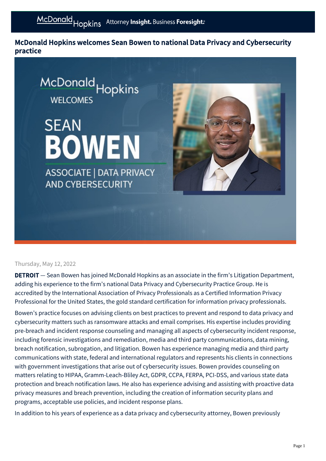McDonald Hopkins welcomes Sean Bowen to national Data Privacy and Cybersecurity practice



## Thursday, May 12, 2022

**DETROIT** – Sean Bowen has joined McDonald Hopkins as an associate in the firm's Litigation Department, adding his experience to the firm's national Data Privacy and Cybersecurity Practice Group. He is accredited by the International Association of Privacy Professionals as a Certified Information Privacy Professional for the United States, the gold standard certification for information privacy professionals.

Bowen's practice focuses on advising clients on best practices to prevent and respond to data privacy and cybersecurity matters such as ransomware attacks and email comprises. His expertise includes providing pre-breach and incident response counseling and managing all aspects of cybersecurity incident response, including forensic investigations and remediation, media and third party communications, data mining, breach notification, subrogation, and litigation. Bowen has experience managing media and third party communications with state, federal and international regulators and represents his clients in connections with government investigations that arise out of cybersecurity issues. Bowen provides counseling on matters relating to HIPAA, Gramm-Leach-Bliley Act, GDPR, CCPA, FERPA, PCI-DSS, and various state data protection and breach notification laws. He also has experience advising and assisting with proactive data privacy measures and breach prevention, including the creation of information security plans and programs, acceptable use policies, and incident response plans.

In addition to his years of experience as a data privacy and cybersecurity attorney, Bowen previously